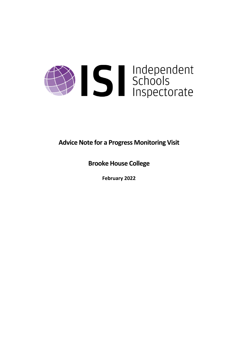

**Advice Note for a Progress Monitoring Visit**

**Brooke House College**

**February 2022**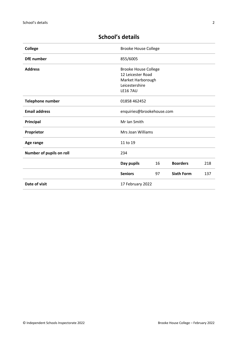| <b>College</b>           | <b>Brooke House College</b>                                                                                |    |                   |     |
|--------------------------|------------------------------------------------------------------------------------------------------------|----|-------------------|-----|
| <b>DfE</b> number        | 855/6005                                                                                                   |    |                   |     |
| <b>Address</b>           | <b>Brooke House College</b><br>12 Leicester Road<br>Market Harborough<br>Leicestershire<br><b>LE16 7AU</b> |    |                   |     |
| <b>Telephone number</b>  | 01858 462452                                                                                               |    |                   |     |
| <b>Email address</b>     | enquiries@brookehouse.com                                                                                  |    |                   |     |
| Principal                | Mr Ian Smith                                                                                               |    |                   |     |
| Proprietor               | Mrs Joan Williams                                                                                          |    |                   |     |
| Age range                | 11 to 19                                                                                                   |    |                   |     |
| Number of pupils on roll | 234                                                                                                        |    |                   |     |
|                          | Day pupils                                                                                                 | 16 | <b>Boarders</b>   | 218 |
|                          | <b>Seniors</b>                                                                                             | 97 | <b>Sixth Form</b> | 137 |
| Date of visit            | 17 February 2022                                                                                           |    |                   |     |

# **School's details**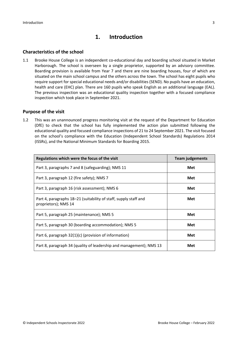# **1. Introduction**

## **Characteristics of the school**

1.1 Brooke House College is an independent co-educational day and boarding school situated in Market Harborough. The school is overseen by a single proprietor, supported by an advisory committee. Boarding provision is available from Year 7 and there are nine boarding houses, four of which are situated on the main school campus and the others across the town. The school has eight pupils who require support for special educational needs and/or disabilities (SEND). No pupils have an education, health and care (EHC) plan. There are 160 pupils who speak English as an additional language (EAL). The previous inspection was an educational quality inspection together with a focused compliance inspection which took place in September 2021.

### **Purpose of the visit**

1.2 This was an unannounced progress monitoring visit at the request of the Department for Education (DfE) to check that the school has fully implemented the action plan submitted following the educational quality and focused compliance inspections of 21 to 24 September 2021. The visit focused on the school's compliance with the Education (Independent School Standards) Regulations 2014 (ISSRs), and the National Minimum Standards for Boarding 2015.

| Regulations which were the focus of the visit                                            | <b>Team judgements</b> |  |
|------------------------------------------------------------------------------------------|------------------------|--|
| Part 3, paragraphs 7 and 8 (safeguarding); NMS 11                                        | Met                    |  |
| Part 3, paragraph 12 (fire safety); NMS 7                                                | Met                    |  |
| Part 3, paragraph 16 (risk assessment); NMS 6                                            | Met                    |  |
| Part 4, paragraphs 18–21 (suitability of staff, supply staff and<br>proprietors); NMS 14 | Met                    |  |
| Part 5, paragraph 25 (maintenance); NMS 5                                                | Met                    |  |
| Part 5, paragraph 30 (boarding accommodation); NMS 5                                     | Met                    |  |
| Part 6, paragraph 32(1)(c) (provision of information)                                    | Met                    |  |
| Part 8, paragraph 34 (quality of leadership and management); NMS 13                      | Met                    |  |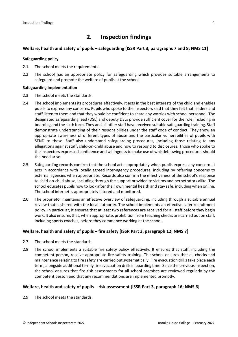# **2. Inspection findings**

### **Welfare, health and safety of pupils – safeguarding [ISSR Part 3, paragraphs 7 and 8; NMS 11]**

#### **Safeguarding policy**

- 2.1 The school meets the requirements.
- 2.2 The school has an appropriate policy for safeguarding which provides suitable arrangements to safeguard and promote the welfare of pupils at the school.

#### **Safeguarding implementation**

- 2.3 The school meets the standards.
- 2.4 The school implements its procedures effectively. It acts in the best interests of the child and enables pupils to express any concerns. Pupils who spoke to the inspectors said that they felt that leaders and staff listen to them and that they would be confident to share any worries with school personnel. The designated safeguarding lead (DSL) and deputy DSLs provide sufficient cover for the role, including in boarding and the sixth form. They and all other staff have received suitable safeguarding training. Staff demonstrate understanding of their responsibilities under the staff code of conduct. They show an appropriate awareness of different types of abuse and the particular vulnerabilities of pupils with SEND to these. Staff also understand safeguarding procedures, including those relating to any allegations against staff, child-on-child abuse and how to respond to disclosures. Those who spoke to the inspectors expressed confidence and willingness to make use of whistleblowing procedures should the need arise.
- 2.5 Safeguarding records confirm that the school acts appropriately when pupils express any concern. It acts in accordance with locally agreed inter-agency procedures, including by referring concerns to external agencies when appropriate. Records also confirm the effectiveness of the school's response to child-on-child abuse, including through the support provided to victims and perpetrators alike. The school educates pupils how to look after their own mental health and stay safe, including when online. The school internet is appropriately filtered and monitored.
- 2.6 The proprietor maintains an effective overview of safeguarding, including through a suitable annual review that is shared with the local authority. The school implements an effective safer recruitment policy. In particular, it ensures that at least two references are received for all staff before they begin work. It also ensures that, when appropriate, prohibition from teaching checks are carried out on staff, including sports coaches, before they commence working at the school.

### **Welfare, health and safety of pupils – fire safety [ISSR Part 3, paragraph 12; NMS 7]**

- 2.7 The school meets the standards.
- 2.8 The school implements a suitable fire safety policy effectively. It ensures that staff, including the competent person, receive appropriate fire safety training. The school ensures that all checks and maintenance relating to fire safety are carried out systematically. Fire evacuation drills take place each term, alongside additional termly fire evacuation drills in boarding time. Since the previous inspection, the school ensures that fire risk assessments for all school premises are reviewed regularly by the competent person and that any recommendations are implemented promptly.

#### **Welfare, health and safety of pupils – risk assessment [ISSR Part 3, paragraph 16; NMS 6]**

2.9 The school meets the standards.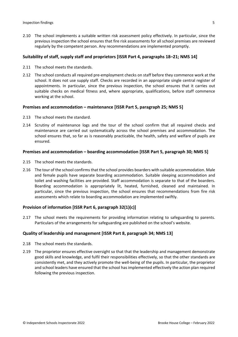2.10 The school implements a suitable written risk assessment policy effectively. In particular, since the previous inspection the school ensures that fire risk assessments for all school premises are reviewed regularly by the competent person. Any recommendations are implemented promptly.

#### **Suitability of staff, supply staff and proprietors [ISSR Part 4, paragraphs 18–21; NMS 14]**

- 2.11 The school meets the standards.
- 2.12 The school conducts all required pre-employment checks on staff before they commence work at the school. It does not use supply staff. Checks are recorded in an appropriate single central register of appointments. In particular, since the previous inspection, the school ensures that it carries out suitable checks on medical fitness and, where appropriate, qualifications, before staff commence working at the school.

### **Premises and accommodation – maintenance [ISSR Part 5, paragraph 25; NMS 5]**

- 2.13 The school meets the standard.
- 2.14 Scrutiny of maintenance logs and the tour of the school confirm that all required checks and maintenance are carried out systematically across the school premises and accommodation. The school ensures that, so far as is reasonably practicable, the health, safety and welfare of pupils are ensured.

#### **Premises and accommodation – boarding accommodation [ISSR Part 5, paragraph 30; NMS 5]**

- 2.15 The school meets the standards.
- 2.16 The tour of the school confirms that the school provides boarders with suitable accommodation. Male and female pupils have separate boarding accommodation. Suitable sleeping accommodation and toilet and washing facilities are provided. Staff accommodation is separate to that of the boarders. Boarding accommodation is appropriately lit, heated, furnished, cleaned and maintained. In particular, since the previous inspection, the school ensures that recommendations from fire risk assessments which relate to boarding accommodation are implemented swiftly.

#### **Provision of information [ISSR Part 6, paragraph 32(1)(c)]**

2.17 The school meets the requirements for providing information relating to safeguarding to parents. Particulars of the arrangements for safeguarding are published on the school's website.

#### **Quality of leadership and management [ISSR Part 8, paragraph 34; NMS 13]**

- 2.18 The school meets the standards.
- 2.19 The proprietor ensures effective oversight so that that the leadership and management demonstrate good skills and knowledge, and fulfil their responsibilities effectively, so that the other standards are consistently met, and they actively promote the well-being of the pupils. In particular, the proprietor and school leaders have ensured that the school has implemented effectively the action plan required following the previous inspection.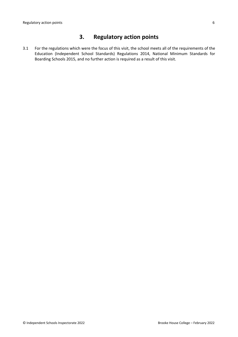# **3. Regulatory action points**

3.1 For the regulations which were the focus of this visit, the school meets all of the requirements of the Education (Independent School Standards) Regulations 2014, National Minimum Standards for Boarding Schools 2015, and no further action is required as a result of this visit.